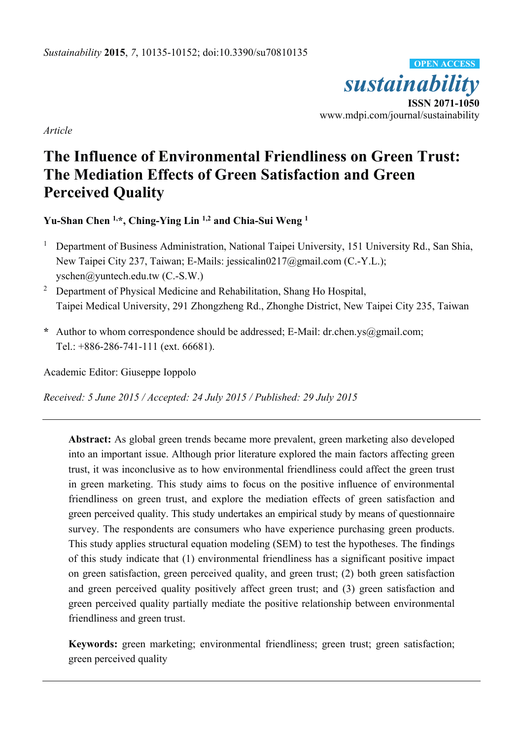*sustainability*  **ISSN 2071-1050**  www.mdpi.com/journal/sustainability **OPEN ACCESS**

*Article* 

# **The Influence of Environmental Friendliness on Green Trust: The Mediation Effects of Green Satisfaction and Green Perceived Quality**

**Yu-Shan Chen 1,\*, Ching-Ying Lin 1,2 and Chia-Sui Weng 1**

- 1 Department of Business Administration, National Taipei University, 151 University Rd., San Shia, New Taipei City 237, Taiwan; E-Mails: jessicalin0217@gmail.com (C.-Y.L.); yschen@yuntech.edu.tw (C.-S.W.)
- <sup>2</sup> Department of Physical Medicine and Rehabilitation, Shang Ho Hospital, Taipei Medical University, 291 Zhongzheng Rd., Zhonghe District, New Taipei City 235, Taiwan
- **\*** Author to whom correspondence should be addressed; E-Mail: dr.chen.ys@gmail.com; Tel.: +886-286-741-111 (ext. 66681).

Academic Editor: Giuseppe Ioppolo

*Received: 5 June 2015 / Accepted: 24 July 2015 / Published: 29 July 2015* 

**Abstract:** As global green trends became more prevalent, green marketing also developed into an important issue. Although prior literature explored the main factors affecting green trust, it was inconclusive as to how environmental friendliness could affect the green trust in green marketing. This study aims to focus on the positive influence of environmental friendliness on green trust, and explore the mediation effects of green satisfaction and green perceived quality. This study undertakes an empirical study by means of questionnaire survey. The respondents are consumers who have experience purchasing green products. This study applies structural equation modeling (SEM) to test the hypotheses. The findings of this study indicate that (1) environmental friendliness has a significant positive impact on green satisfaction, green perceived quality, and green trust; (2) both green satisfaction and green perceived quality positively affect green trust; and (3) green satisfaction and green perceived quality partially mediate the positive relationship between environmental friendliness and green trust.

**Keywords:** green marketing; environmental friendliness; green trust; green satisfaction; green perceived quality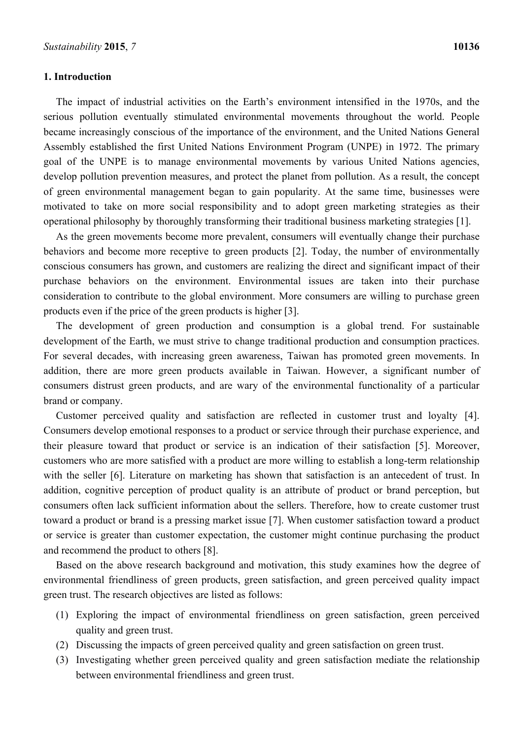## **1. Introduction**

The impact of industrial activities on the Earth's environment intensified in the 1970s, and the serious pollution eventually stimulated environmental movements throughout the world. People became increasingly conscious of the importance of the environment, and the United Nations General Assembly established the first United Nations Environment Program (UNPE) in 1972. The primary goal of the UNPE is to manage environmental movements by various United Nations agencies, develop pollution prevention measures, and protect the planet from pollution. As a result, the concept of green environmental management began to gain popularity. At the same time, businesses were

As the green movements become more prevalent, consumers will eventually change their purchase behaviors and become more receptive to green products [2]. Today, the number of environmentally conscious consumers has grown, and customers are realizing the direct and significant impact of their purchase behaviors on the environment. Environmental issues are taken into their purchase consideration to contribute to the global environment. More consumers are willing to purchase green products even if the price of the green products is higher [3].

motivated to take on more social responsibility and to adopt green marketing strategies as their operational philosophy by thoroughly transforming their traditional business marketing strategies [1].

The development of green production and consumption is a global trend. For sustainable development of the Earth, we must strive to change traditional production and consumption practices. For several decades, with increasing green awareness, Taiwan has promoted green movements. In addition, there are more green products available in Taiwan. However, a significant number of consumers distrust green products, and are wary of the environmental functionality of a particular brand or company.

Customer perceived quality and satisfaction are reflected in customer trust and loyalty [4]. Consumers develop emotional responses to a product or service through their purchase experience, and their pleasure toward that product or service is an indication of their satisfaction [5]. Moreover, customers who are more satisfied with a product are more willing to establish a long-term relationship with the seller [6]. Literature on marketing has shown that satisfaction is an antecedent of trust. In addition, cognitive perception of product quality is an attribute of product or brand perception, but consumers often lack sufficient information about the sellers. Therefore, how to create customer trust toward a product or brand is a pressing market issue [7]. When customer satisfaction toward a product or service is greater than customer expectation, the customer might continue purchasing the product and recommend the product to others [8].

Based on the above research background and motivation, this study examines how the degree of environmental friendliness of green products, green satisfaction, and green perceived quality impact green trust. The research objectives are listed as follows:

- (1) Exploring the impact of environmental friendliness on green satisfaction, green perceived quality and green trust.
- (2) Discussing the impacts of green perceived quality and green satisfaction on green trust.
- (3) Investigating whether green perceived quality and green satisfaction mediate the relationship between environmental friendliness and green trust.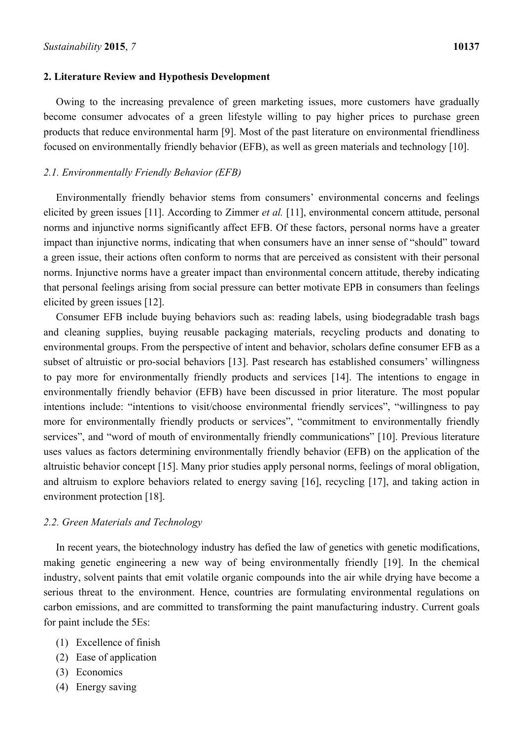#### **2. Literature Review and Hypothesis Development**

Owing to the increasing prevalence of green marketing issues, more customers have gradually become consumer advocates of a green lifestyle willing to pay higher prices to purchase green products that reduce environmental harm [9]. Most of the past literature on environmental friendliness focused on environmentally friendly behavior (EFB), as well as green materials and technology [10].

# *2.1. Environmentally Friendly Behavior (EFB)*

Environmentally friendly behavior stems from consumers' environmental concerns and feelings elicited by green issues [11]. According to Zimmer *et al.* [11], environmental concern attitude, personal norms and injunctive norms significantly affect EFB. Of these factors, personal norms have a greater impact than injunctive norms, indicating that when consumers have an inner sense of "should" toward a green issue, their actions often conform to norms that are perceived as consistent with their personal norms. Injunctive norms have a greater impact than environmental concern attitude, thereby indicating that personal feelings arising from social pressure can better motivate EPB in consumers than feelings elicited by green issues [12].

Consumer EFB include buying behaviors such as: reading labels, using biodegradable trash bags and cleaning supplies, buying reusable packaging materials, recycling products and donating to environmental groups. From the perspective of intent and behavior, scholars define consumer EFB as a subset of altruistic or pro-social behaviors [13]. Past research has established consumers' willingness to pay more for environmentally friendly products and services [14]. The intentions to engage in environmentally friendly behavior (EFB) have been discussed in prior literature. The most popular intentions include: "intentions to visit/choose environmental friendly services", "willingness to pay more for environmentally friendly products or services", "commitment to environmentally friendly services", and "word of mouth of environmentally friendly communications" [10]. Previous literature uses values as factors determining environmentally friendly behavior (EFB) on the application of the altruistic behavior concept [15]. Many prior studies apply personal norms, feelings of moral obligation, and altruism to explore behaviors related to energy saving [16], recycling [17], and taking action in environment protection [18].

## *2.2. Green Materials and Technology*

In recent years, the biotechnology industry has defied the law of genetics with genetic modifications, making genetic engineering a new way of being environmentally friendly [19]. In the chemical industry, solvent paints that emit volatile organic compounds into the air while drying have become a serious threat to the environment. Hence, countries are formulating environmental regulations on carbon emissions, and are committed to transforming the paint manufacturing industry. Current goals for paint include the 5Es:

- (1) Excellence of finish
- (2) Ease of application
- (3) Economics
- (4) Energy saving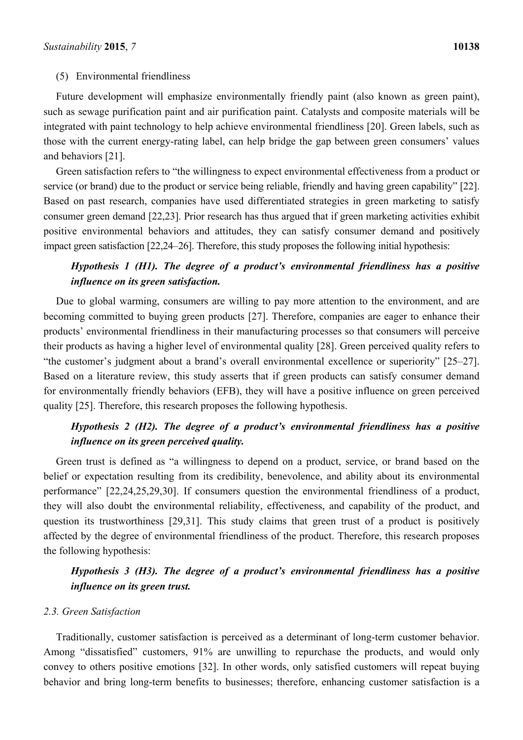# (5) Environmental friendliness

Future development will emphasize environmentally friendly paint (also known as green paint), such as sewage purification paint and air purification paint. Catalysts and composite materials will be integrated with paint technology to help achieve environmental friendliness [20]. Green labels, such as those with the current energy-rating label, can help bridge the gap between green consumers' values and behaviors [21].

Green satisfaction refers to "the willingness to expect environmental effectiveness from a product or service (or brand) due to the product or service being reliable, friendly and having green capability" [22]. Based on past research, companies have used differentiated strategies in green marketing to satisfy consumer green demand [22,23]. Prior research has thus argued that if green marketing activities exhibit positive environmental behaviors and attitudes, they can satisfy consumer demand and positively impact green satisfaction [22,24–26]. Therefore, this study proposes the following initial hypothesis:

# *Hypothesis 1 (H1). The degree of a product's environmental friendliness has a positive influence on its green satisfaction.*

Due to global warming, consumers are willing to pay more attention to the environment, and are becoming committed to buying green products [27]. Therefore, companies are eager to enhance their products' environmental friendliness in their manufacturing processes so that consumers will perceive their products as having a higher level of environmental quality [28]. Green perceived quality refers to "the customer's judgment about a brand's overall environmental excellence or superiority" [25–27]. Based on a literature review, this study asserts that if green products can satisfy consumer demand for environmentally friendly behaviors (EFB), they will have a positive influence on green perceived quality [25]. Therefore, this research proposes the following hypothesis.

# *Hypothesis 2 (H2). The degree of a product's environmental friendliness has a positive influence on its green perceived quality.*

Green trust is defined as "a willingness to depend on a product, service, or brand based on the belief or expectation resulting from its credibility, benevolence, and ability about its environmental performance" [22,24,25,29,30]. If consumers question the environmental friendliness of a product, they will also doubt the environmental reliability, effectiveness, and capability of the product, and question its trustworthiness [29,31]. This study claims that green trust of a product is positively affected by the degree of environmental friendliness of the product. Therefore, this research proposes the following hypothesis:

# *Hypothesis 3 (H3). The degree of a product's environmental friendliness has a positive influence on its green trust.*

#### *2.3. Green Satisfaction*

Traditionally, customer satisfaction is perceived as a determinant of long-term customer behavior. Among "dissatisfied" customers, 91% are unwilling to repurchase the products, and would only convey to others positive emotions [32]. In other words, only satisfied customers will repeat buying behavior and bring long-term benefits to businesses; therefore, enhancing customer satisfaction is a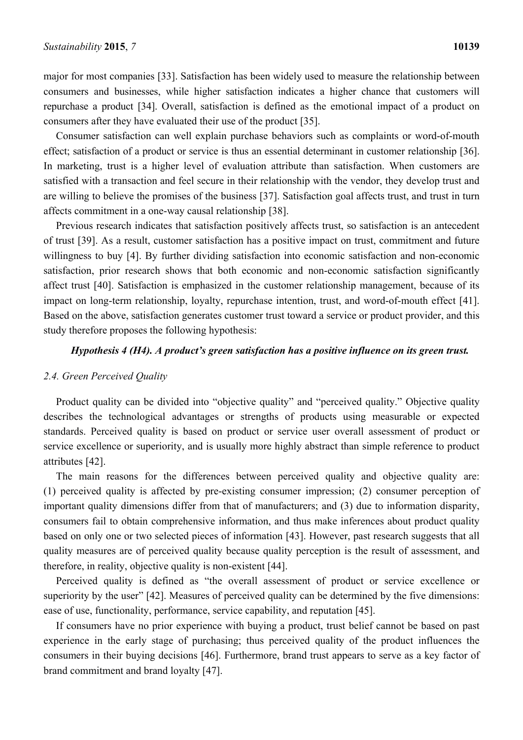major for most companies [33]. Satisfaction has been widely used to measure the relationship between consumers and businesses, while higher satisfaction indicates a higher chance that customers will repurchase a product [34]. Overall, satisfaction is defined as the emotional impact of a product on consumers after they have evaluated their use of the product [35].

Consumer satisfaction can well explain purchase behaviors such as complaints or word-of-mouth effect; satisfaction of a product or service is thus an essential determinant in customer relationship [36]. In marketing, trust is a higher level of evaluation attribute than satisfaction. When customers are satisfied with a transaction and feel secure in their relationship with the vendor, they develop trust and are willing to believe the promises of the business [37]. Satisfaction goal affects trust, and trust in turn affects commitment in a one-way causal relationship [38].

Previous research indicates that satisfaction positively affects trust, so satisfaction is an antecedent of trust [39]. As a result, customer satisfaction has a positive impact on trust, commitment and future willingness to buy [4]. By further dividing satisfaction into economic satisfaction and non-economic satisfaction, prior research shows that both economic and non-economic satisfaction significantly affect trust [40]. Satisfaction is emphasized in the customer relationship management, because of its impact on long-term relationship, loyalty, repurchase intention, trust, and word-of-mouth effect [41]. Based on the above, satisfaction generates customer trust toward a service or product provider, and this study therefore proposes the following hypothesis:

# *Hypothesis 4 (H4). A product's green satisfaction has a positive influence on its green trust.*

#### *2.4. Green Perceived Quality*

Product quality can be divided into "objective quality" and "perceived quality." Objective quality describes the technological advantages or strengths of products using measurable or expected standards. Perceived quality is based on product or service user overall assessment of product or service excellence or superiority, and is usually more highly abstract than simple reference to product attributes [42].

The main reasons for the differences between perceived quality and objective quality are: (1) perceived quality is affected by pre-existing consumer impression; (2) consumer perception of important quality dimensions differ from that of manufacturers; and (3) due to information disparity, consumers fail to obtain comprehensive information, and thus make inferences about product quality based on only one or two selected pieces of information [43]. However, past research suggests that all quality measures are of perceived quality because quality perception is the result of assessment, and therefore, in reality, objective quality is non-existent [44].

Perceived quality is defined as "the overall assessment of product or service excellence or superiority by the user" [42]. Measures of perceived quality can be determined by the five dimensions: ease of use, functionality, performance, service capability, and reputation [45].

If consumers have no prior experience with buying a product, trust belief cannot be based on past experience in the early stage of purchasing; thus perceived quality of the product influences the consumers in their buying decisions [46]. Furthermore, brand trust appears to serve as a key factor of brand commitment and brand loyalty [47].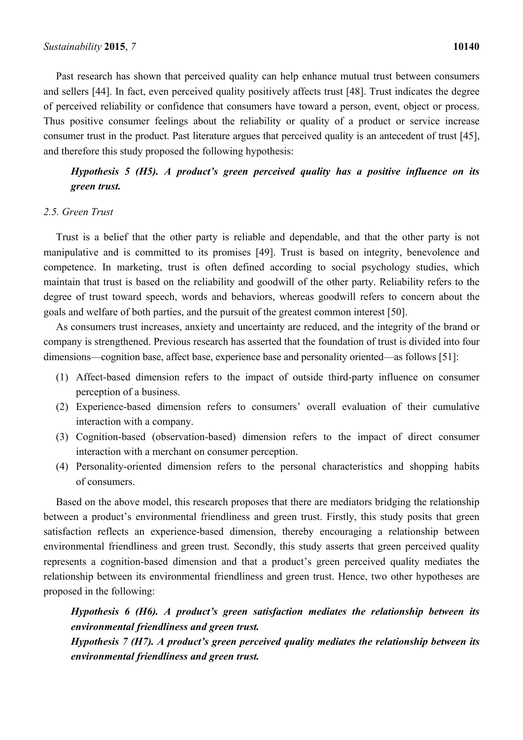Past research has shown that perceived quality can help enhance mutual trust between consumers and sellers [44]. In fact, even perceived quality positively affects trust [48]. Trust indicates the degree of perceived reliability or confidence that consumers have toward a person, event, object or process. Thus positive consumer feelings about the reliability or quality of a product or service increase consumer trust in the product. Past literature argues that perceived quality is an antecedent of trust [45], and therefore this study proposed the following hypothesis:

*Hypothesis 5 (H5). A product's green perceived quality has a positive influence on its green trust.* 

# *2.5. Green Trust*

Trust is a belief that the other party is reliable and dependable, and that the other party is not manipulative and is committed to its promises [49]. Trust is based on integrity, benevolence and competence. In marketing, trust is often defined according to social psychology studies, which maintain that trust is based on the reliability and goodwill of the other party. Reliability refers to the degree of trust toward speech, words and behaviors, whereas goodwill refers to concern about the goals and welfare of both parties, and the pursuit of the greatest common interest [50].

As consumers trust increases, anxiety and uncertainty are reduced, and the integrity of the brand or company is strengthened. Previous research has asserted that the foundation of trust is divided into four dimensions—cognition base, affect base, experience base and personality oriented—as follows [51]:

- (1) Affect-based dimension refers to the impact of outside third-party influence on consumer perception of a business.
- (2) Experience-based dimension refers to consumers' overall evaluation of their cumulative interaction with a company.
- (3) Cognition-based (observation-based) dimension refers to the impact of direct consumer interaction with a merchant on consumer perception.
- (4) Personality-oriented dimension refers to the personal characteristics and shopping habits of consumers.

Based on the above model, this research proposes that there are mediators bridging the relationship between a product's environmental friendliness and green trust. Firstly, this study posits that green satisfaction reflects an experience-based dimension, thereby encouraging a relationship between environmental friendliness and green trust. Secondly, this study asserts that green perceived quality represents a cognition-based dimension and that a product's green perceived quality mediates the relationship between its environmental friendliness and green trust. Hence, two other hypotheses are proposed in the following:

*Hypothesis 6 (H6). A product's green satisfaction mediates the relationship between its environmental friendliness and green trust.* 

*Hypothesis 7 (H7). A product's green perceived quality mediates the relationship between its environmental friendliness and green trust.*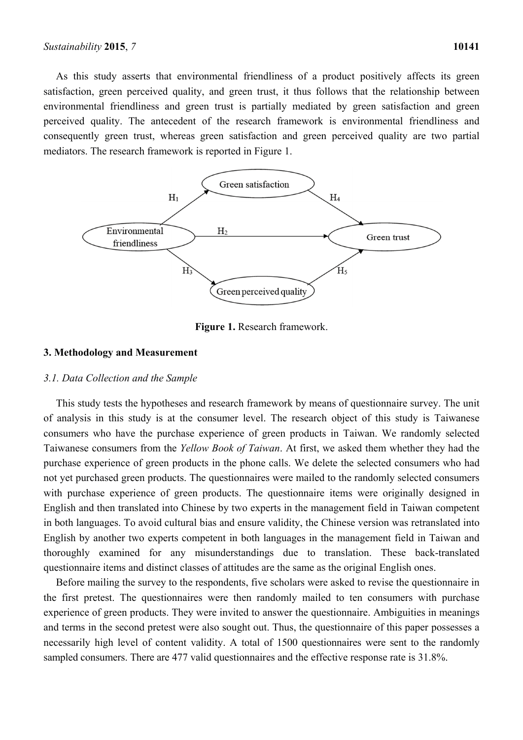As this study asserts that environmental friendliness of a product positively affects its green satisfaction, green perceived quality, and green trust, it thus follows that the relationship between environmental friendliness and green trust is partially mediated by green satisfaction and green perceived quality. The antecedent of the research framework is environmental friendliness and consequently green trust, whereas green satisfaction and green perceived quality are two partial mediators. The research framework is reported in Figure 1.



**Figure 1.** Research framework.

# **3. Methodology and Measurement**

#### *3.1. Data Collection and the Sample*

This study tests the hypotheses and research framework by means of questionnaire survey. The unit of analysis in this study is at the consumer level. The research object of this study is Taiwanese consumers who have the purchase experience of green products in Taiwan. We randomly selected Taiwanese consumers from the *Yellow Book of Taiwan*. At first, we asked them whether they had the purchase experience of green products in the phone calls. We delete the selected consumers who had not yet purchased green products. The questionnaires were mailed to the randomly selected consumers with purchase experience of green products. The questionnaire items were originally designed in English and then translated into Chinese by two experts in the management field in Taiwan competent in both languages. To avoid cultural bias and ensure validity, the Chinese version was retranslated into English by another two experts competent in both languages in the management field in Taiwan and thoroughly examined for any misunderstandings due to translation. These back-translated questionnaire items and distinct classes of attitudes are the same as the original English ones.

Before mailing the survey to the respondents, five scholars were asked to revise the questionnaire in the first pretest. The questionnaires were then randomly mailed to ten consumers with purchase experience of green products. They were invited to answer the questionnaire. Ambiguities in meanings and terms in the second pretest were also sought out. Thus, the questionnaire of this paper possesses a necessarily high level of content validity. A total of 1500 questionnaires were sent to the randomly sampled consumers. There are 477 valid questionnaires and the effective response rate is 31.8%.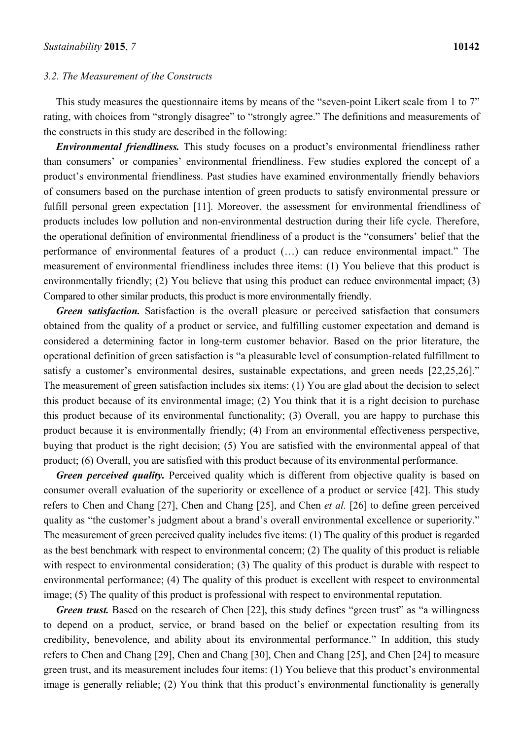#### *3.2. The Measurement of the Constructs*

This study measures the questionnaire items by means of the "seven-point Likert scale from 1 to 7" rating, with choices from "strongly disagree" to "strongly agree." The definitions and measurements of the constructs in this study are described in the following:

*Environmental friendliness.* This study focuses on a product's environmental friendliness rather than consumers' or companies' environmental friendliness. Few studies explored the concept of a product's environmental friendliness. Past studies have examined environmentally friendly behaviors of consumers based on the purchase intention of green products to satisfy environmental pressure or fulfill personal green expectation [11]. Moreover, the assessment for environmental friendliness of products includes low pollution and non-environmental destruction during their life cycle. Therefore, the operational definition of environmental friendliness of a product is the "consumers' belief that the performance of environmental features of a product (…) can reduce environmental impact." The measurement of environmental friendliness includes three items: (1) You believe that this product is environmentally friendly; (2) You believe that using this product can reduce environmental impact; (3) Compared to other similar products, this product is more environmentally friendly.

*Green satisfaction.* Satisfaction is the overall pleasure or perceived satisfaction that consumers obtained from the quality of a product or service, and fulfilling customer expectation and demand is considered a determining factor in long-term customer behavior. Based on the prior literature, the operational definition of green satisfaction is "a pleasurable level of consumption-related fulfillment to satisfy a customer's environmental desires, sustainable expectations, and green needs [22,25,26]." The measurement of green satisfaction includes six items: (1) You are glad about the decision to select this product because of its environmental image; (2) You think that it is a right decision to purchase this product because of its environmental functionality; (3) Overall, you are happy to purchase this product because it is environmentally friendly; (4) From an environmental effectiveness perspective, buying that product is the right decision; (5) You are satisfied with the environmental appeal of that product; (6) Overall, you are satisfied with this product because of its environmental performance.

*Green perceived quality.* Perceived quality which is different from objective quality is based on consumer overall evaluation of the superiority or excellence of a product or service [42]. This study refers to Chen and Chang [27], Chen and Chang [25], and Chen *et al.* [26] to define green perceived quality as "the customer's judgment about a brand's overall environmental excellence or superiority." The measurement of green perceived quality includes five items: (1) The quality of this product is regarded as the best benchmark with respect to environmental concern; (2) The quality of this product is reliable with respect to environmental consideration; (3) The quality of this product is durable with respect to environmental performance; (4) The quality of this product is excellent with respect to environmental image; (5) The quality of this product is professional with respect to environmental reputation.

*Green trust.* Based on the research of Chen [22], this study defines "green trust" as "a willingness to depend on a product, service, or brand based on the belief or expectation resulting from its credibility, benevolence, and ability about its environmental performance." In addition, this study refers to Chen and Chang [29], Chen and Chang [30], Chen and Chang [25], and Chen [24] to measure green trust, and its measurement includes four items: (1) You believe that this product's environmental image is generally reliable; (2) You think that this product's environmental functionality is generally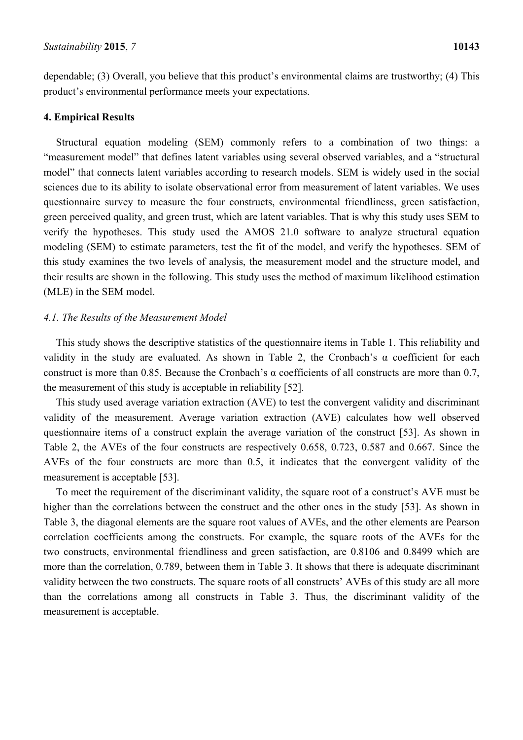dependable; (3) Overall, you believe that this product's environmental claims are trustworthy; (4) This product's environmental performance meets your expectations.

### **4. Empirical Results**

Structural equation modeling (SEM) commonly refers to a combination of two things: a "measurement model" that defines latent variables using several observed variables, and a "structural model" that connects latent variables according to research models. SEM is widely used in the social sciences due to its ability to isolate observational error from measurement of latent variables. We uses questionnaire survey to measure the four constructs, environmental friendliness, green satisfaction, green perceived quality, and green trust, which are latent variables. That is why this study uses SEM to verify the hypotheses. This study used the AMOS 21.0 software to analyze structural equation modeling (SEM) to estimate parameters, test the fit of the model, and verify the hypotheses. SEM of this study examines the two levels of analysis, the measurement model and the structure model, and their results are shown in the following. This study uses the method of maximum likelihood estimation (MLE) in the SEM model.

# *4.1. The Results of the Measurement Model*

This study shows the descriptive statistics of the questionnaire items in Table 1. This reliability and validity in the study are evaluated. As shown in Table 2, the Cronbach's  $\alpha$  coefficient for each construct is more than 0.85. Because the Cronbach's α coefficients of all constructs are more than 0.7, the measurement of this study is acceptable in reliability [52].

This study used average variation extraction (AVE) to test the convergent validity and discriminant validity of the measurement. Average variation extraction (AVE) calculates how well observed questionnaire items of a construct explain the average variation of the construct [53]. As shown in Table 2, the AVEs of the four constructs are respectively 0.658, 0.723, 0.587 and 0.667. Since the AVEs of the four constructs are more than 0.5, it indicates that the convergent validity of the measurement is acceptable [53].

To meet the requirement of the discriminant validity, the square root of a construct's AVE must be higher than the correlations between the construct and the other ones in the study [53]. As shown in Table 3, the diagonal elements are the square root values of AVEs, and the other elements are Pearson correlation coefficients among the constructs. For example, the square roots of the AVEs for the two constructs, environmental friendliness and green satisfaction, are 0.8106 and 0.8499 which are more than the correlation, 0.789, between them in Table 3. It shows that there is adequate discriminant validity between the two constructs. The square roots of all constructs' AVEs of this study are all more than the correlations among all constructs in Table 3. Thus, the discriminant validity of the measurement is acceptable.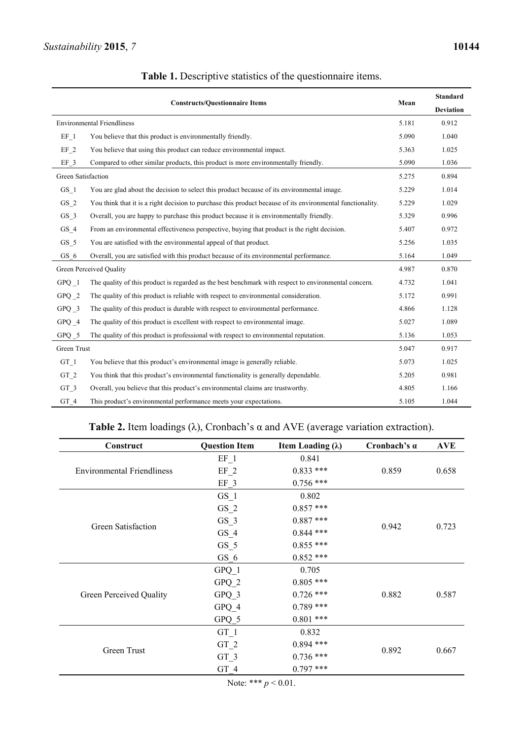|                    | <b>Constructs/Ouestionnaire Items</b>                                                                      | Mean  | <b>Standard</b><br><b>Deviation</b> |
|--------------------|------------------------------------------------------------------------------------------------------------|-------|-------------------------------------|
|                    | <b>Environmental Friendliness</b>                                                                          | 5.181 | 0.912                               |
| EF <sub>1</sub>    | You believe that this product is environmentally friendly.                                                 | 5.090 | 1.040                               |
| $EF_2$             | You believe that using this product can reduce environmental impact.                                       | 5.363 | 1.025                               |
| $EF_3$             | Compared to other similar products, this product is more environmentally friendly.                         | 5.090 | 1.036                               |
| Green Satisfaction |                                                                                                            | 5.275 | 0.894                               |
| $GS_1$             | You are glad about the decision to select this product because of its environmental image.                 | 5.229 | 1.014                               |
| $GS_2$             | You think that it is a right decision to purchase this product because of its environmental functionality. | 5.229 | 1.029                               |
| $GS_3$             | Overall, you are happy to purchase this product because it is environmentally friendly.                    | 5.329 | 0.996                               |
| $GS_4$             | From an environmental effectiveness perspective, buying that product is the right decision.                | 5.407 | 0.972                               |
| $GS_5$             | You are satisfied with the environmental appeal of that product.                                           | 5.256 | 1.035                               |
| $GS_6$             | Overall, you are satisfied with this product because of its environmental performance.                     | 5.164 | 1.049                               |
|                    | <b>Green Perceived Quality</b>                                                                             | 4.987 | 0.870                               |
| $G P Q$ $1$        | The quality of this product is regarded as the best benchmark with respect to environmental concern.       | 4.732 | 1.041                               |
| $GPO_2$            | The quality of this product is reliable with respect to environmental consideration.                       | 5.172 | 0.991                               |
| $G P Q$ $3$        | The quality of this product is durable with respect to environmental performance.                          | 4.866 | 1.128                               |
| $GPO_4$            | The quality of this product is excellent with respect to environmental image.                              | 5.027 | 1.089                               |
| $GPO_5$            | The quality of this product is professional with respect to environmental reputation.                      | 5.136 | 1.053                               |

| Table 1. Descriptive statistics of the questionnaire items. |  |  |  |
|-------------------------------------------------------------|--|--|--|
|                                                             |  |  |  |

| GPQ 2           | The quality of this product is reliable with respect to environmental consideration.  | 5.172 | 0.991 |
|-----------------|---------------------------------------------------------------------------------------|-------|-------|
| $GPO_3$         | The quality of this product is durable with respect to environmental performance.     | 4.866 | 1.128 |
| GPQ 4           | The quality of this product is excellent with respect to environmental image.         | 5.027 | 1.089 |
| GPQ 5           | The quality of this product is professional with respect to environmental reputation. | 5.136 | 1.053 |
| Green Trust     |                                                                                       | 5.047 | 0.917 |
| GT 1            | You believe that this product's environmental image is generally reliable.            | 5.073 | 1.025 |
| GT <sub>2</sub> | You think that this product's environmental functionality is generally dependable.    | 5.205 | 0.981 |
| GT 3            | Overall, you believe that this product's environmental claims are trustworthy.        | 4.805 | 1.166 |
| GT 4            | This product's environmental performance meets your expectations.                     | 5.105 | 1.044 |

# **Table 2.** Item loadings ( $\lambda$ ), Cronbach's  $\alpha$  and AVE (average variation extraction).

| Construct                         | <b>Question Item</b> | Item Loading $(\lambda)$ | Cronbach's a | <b>AVE</b> |
|-----------------------------------|----------------------|--------------------------|--------------|------------|
|                                   | $EF_1$               | 0.841                    |              |            |
| <b>Environmental Friendliness</b> | $EF_2$               | $0.833$ ***              | 0.859        | 0.658      |
|                                   | EF 3                 | $0.756$ ***              |              |            |
|                                   | GS 1                 | 0.802                    |              |            |
|                                   | $GS_2$               | $0.857$ ***              |              |            |
|                                   | $GS_3$               | $0.887$ ***              |              |            |
| <b>Green Satisfaction</b>         | $GS_4$               | $0.844$ ***              | 0.942        | 0.723      |
|                                   | $GS_5$               | $0.855$ ***              |              |            |
|                                   | GS 6                 | $0.852$ ***              |              |            |
|                                   | $GPO_1$              | 0.705                    |              |            |
|                                   | $GPQ_2$              | $0.805$ ***              |              |            |
| Green Perceived Quality           | $GPQ_3$              | $0.726$ ***              | 0.882        | 0.587      |
|                                   | GPQ 4                | $0.789$ ***              |              |            |
|                                   | GPQ_5                | $0.801$ ***              |              |            |
|                                   | $GT_1$               | 0.832                    |              |            |
|                                   | $GT_2$               | $0.894$ ***              |              |            |
| Green Trust                       | $GT_3$               | $0.736$ ***              | 0.892        | 0.667      |
|                                   | GT 4                 | $0.797$ ***              |              |            |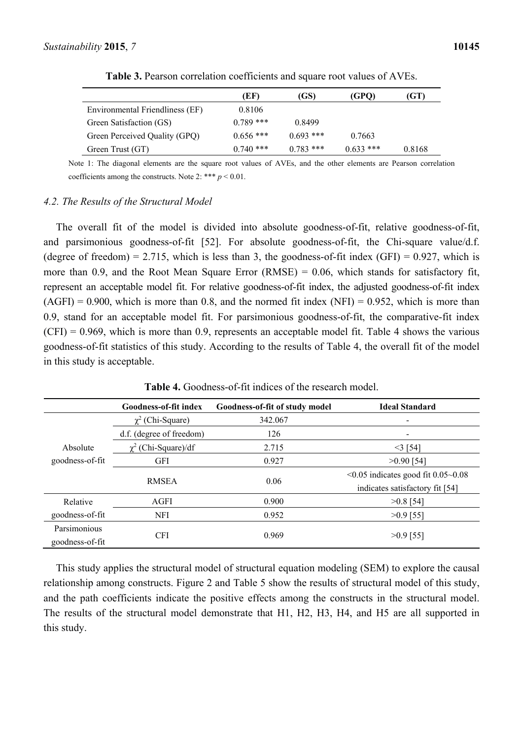**Table 3.** Pearson correlation coefficients and square root values of AVEs.

Note 1: The diagonal elements are the square root values of AVEs, and the other elements are Pearson correlation coefficients among the constructs. Note 2: \*\*\*  $p < 0.01$ .

#### *4.2. The Results of the Structural Model*

The overall fit of the model is divided into absolute goodness-of-fit, relative goodness-of-fit, and parsimonious goodness-of-fit [52]. For absolute goodness-of-fit, the Chi-square value/d.f. (degree of freedom) = 2.715, which is less than 3, the goodness-of-fit index (GFI) =  $0.927$ , which is more than 0.9, and the Root Mean Square Error  $(RMSE) = 0.06$ , which stands for satisfactory fit, represent an acceptable model fit. For relative goodness-of-fit index, the adjusted goodness-of-fit index  $(AGFI) = 0.900$ , which is more than 0.8, and the normed fit index  $(NFI) = 0.952$ , which is more than 0.9, stand for an acceptable model fit. For parsimonious goodness-of-fit, the comparative-fit index  $(CFI) = 0.969$ , which is more than 0.9, represents an acceptable model fit. Table 4 shows the various goodness-of-fit statistics of this study. According to the results of Table 4, the overall fit of the model in this study is acceptable.

|                 | Goodness-of-fit index    | Goodness-of-fit of study model | <b>Ideal Standard</b>                           |
|-----------------|--------------------------|--------------------------------|-------------------------------------------------|
|                 | $\chi^2$ (Chi-Square)    | 342.067                        | $\overline{\phantom{a}}$                        |
|                 | d.f. (degree of freedom) | 126                            | $\overline{\phantom{a}}$                        |
| Absolute        | $\chi^2$ (Chi-Square)/df | 2.715                          | $<$ 3 [54]                                      |
| goodness-of-fit | <b>GFI</b>               | 0.927                          | $>0.90$ [54]                                    |
|                 |                          |                                | $\leq 0.05$ indicates good fit 0.05 $\sim 0.08$ |
|                 | <b>RMSEA</b>             | 0.06                           | indicates satisfactory fit [54]                 |
| Relative        | AGFI                     | 0.900                          | $>0.8$ [54]                                     |
| goodness-of-fit | <b>NFI</b>               | 0.952                          | $>0.9$ [55]                                     |
| Parsimonious    |                          |                                |                                                 |
| goodness-of-fit | <b>CFI</b>               | 0.969                          | $>0.9$ [55]                                     |

**Table 4.** Goodness-of-fit indices of the research model.

This study applies the structural model of structural equation modeling (SEM) to explore the causal relationship among constructs. Figure 2 and Table 5 show the results of structural model of this study, and the path coefficients indicate the positive effects among the constructs in the structural model. The results of the structural model demonstrate that H1, H2, H3, H4, and H5 are all supported in this study.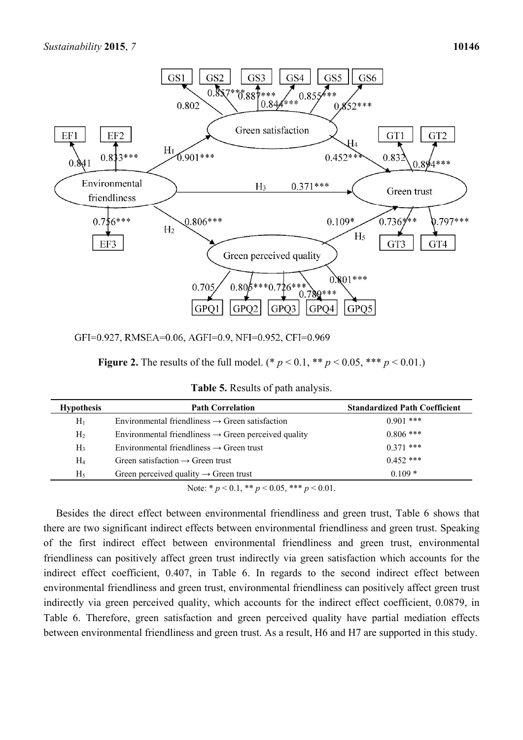

GFI=0.927, RMSEA=0.06, AGFI=0.9, NFI=0.952, CFI=0.969

| <b>Figure 2.</b> The results of the full model. (* $p < 0.1$ , ** $p < 0.05$ , *** $p < 0.01$ .) |  |  |
|--------------------------------------------------------------------------------------------------|--|--|
|--------------------------------------------------------------------------------------------------|--|--|

**Table 5.** Results of path analysis.

| <b>Hypothesis</b> | <b>Path Correlation</b>                                          | <b>Standardized Path Coefficient</b> |
|-------------------|------------------------------------------------------------------|--------------------------------------|
| $H_1$             | Environmental friendliness $\rightarrow$ Green satisfaction      | $0.901$ ***                          |
| H <sub>2</sub>    | Environmental friendliness $\rightarrow$ Green perceived quality | $0.806$ ***                          |
| H <sub>3</sub>    | Environmental friendliness $\rightarrow$ Green trust             | $0.371$ ***                          |
| $\rm{H}_{4}$      | Green satisfaction $\rightarrow$ Green trust                     | $0.452$ ***                          |
| H <sub>5</sub>    | Green perceived quality $\rightarrow$ Green trust                | $0.109*$                             |

Note: \* *p* < 0.1, \*\* *p* < 0.05, \*\*\* *p* < 0.01.

Besides the direct effect between environmental friendliness and green trust, Table 6 shows that there are two significant indirect effects between environmental friendliness and green trust. Speaking of the first indirect effect between environmental friendliness and green trust, environmental friendliness can positively affect green trust indirectly via green satisfaction which accounts for the indirect effect coefficient, 0.407, in Table 6. In regards to the second indirect effect between environmental friendliness and green trust, environmental friendliness can positively affect green trust indirectly via green perceived quality, which accounts for the indirect effect coefficient, 0.0879, in Table 6. Therefore, green satisfaction and green perceived quality have partial mediation effects between environmental friendliness and green trust. As a result, H6 and H7 are supported in this study.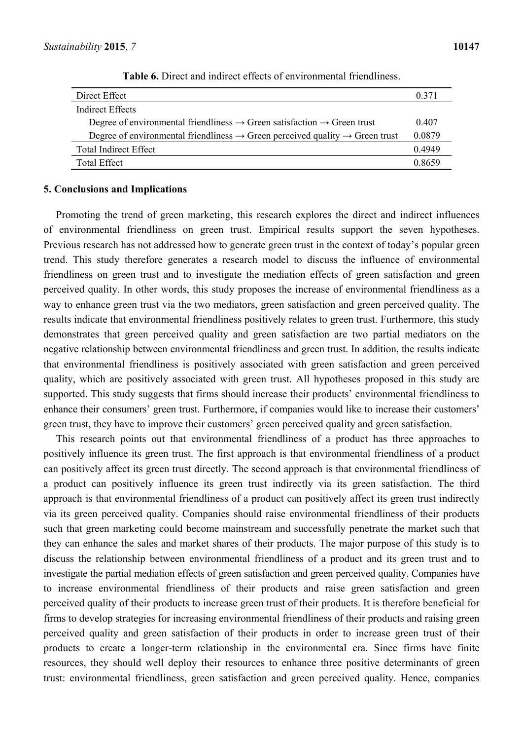| Direct Effect                                                                                        | 0.371  |
|------------------------------------------------------------------------------------------------------|--------|
| <b>Indirect Effects</b>                                                                              |        |
| Degree of environmental friendliness $\rightarrow$ Green satisfaction $\rightarrow$ Green trust      | 0.407  |
| Degree of environmental friendliness $\rightarrow$ Green perceived quality $\rightarrow$ Green trust | 0.0879 |
| <b>Total Indirect Effect</b>                                                                         | 0.4949 |
| <b>Total Effect</b>                                                                                  | 0.8659 |

**Table 6.** Direct and indirect effects of environmental friendliness.

### **5. Conclusions and Implications**

Promoting the trend of green marketing, this research explores the direct and indirect influences of environmental friendliness on green trust. Empirical results support the seven hypotheses. Previous research has not addressed how to generate green trust in the context of today's popular green trend. This study therefore generates a research model to discuss the influence of environmental friendliness on green trust and to investigate the mediation effects of green satisfaction and green perceived quality. In other words, this study proposes the increase of environmental friendliness as a way to enhance green trust via the two mediators, green satisfaction and green perceived quality. The results indicate that environmental friendliness positively relates to green trust. Furthermore, this study demonstrates that green perceived quality and green satisfaction are two partial mediators on the negative relationship between environmental friendliness and green trust. In addition, the results indicate that environmental friendliness is positively associated with green satisfaction and green perceived quality, which are positively associated with green trust. All hypotheses proposed in this study are supported. This study suggests that firms should increase their products' environmental friendliness to enhance their consumers' green trust. Furthermore, if companies would like to increase their customers' green trust, they have to improve their customers' green perceived quality and green satisfaction.

This research points out that environmental friendliness of a product has three approaches to positively influence its green trust. The first approach is that environmental friendliness of a product can positively affect its green trust directly. The second approach is that environmental friendliness of a product can positively influence its green trust indirectly via its green satisfaction. The third approach is that environmental friendliness of a product can positively affect its green trust indirectly via its green perceived quality. Companies should raise environmental friendliness of their products such that green marketing could become mainstream and successfully penetrate the market such that they can enhance the sales and market shares of their products. The major purpose of this study is to discuss the relationship between environmental friendliness of a product and its green trust and to investigate the partial mediation effects of green satisfaction and green perceived quality. Companies have to increase environmental friendliness of their products and raise green satisfaction and green perceived quality of their products to increase green trust of their products. It is therefore beneficial for firms to develop strategies for increasing environmental friendliness of their products and raising green perceived quality and green satisfaction of their products in order to increase green trust of their products to create a longer-term relationship in the environmental era. Since firms have finite resources, they should well deploy their resources to enhance three positive determinants of green trust: environmental friendliness, green satisfaction and green perceived quality. Hence, companies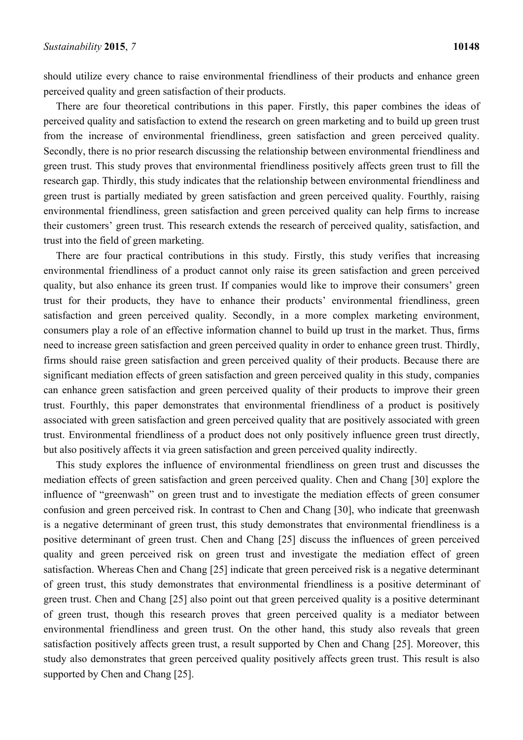should utilize every chance to raise environmental friendliness of their products and enhance green perceived quality and green satisfaction of their products.

There are four theoretical contributions in this paper. Firstly, this paper combines the ideas of perceived quality and satisfaction to extend the research on green marketing and to build up green trust from the increase of environmental friendliness, green satisfaction and green perceived quality. Secondly, there is no prior research discussing the relationship between environmental friendliness and green trust. This study proves that environmental friendliness positively affects green trust to fill the research gap. Thirdly, this study indicates that the relationship between environmental friendliness and green trust is partially mediated by green satisfaction and green perceived quality. Fourthly, raising environmental friendliness, green satisfaction and green perceived quality can help firms to increase their customers' green trust. This research extends the research of perceived quality, satisfaction, and trust into the field of green marketing.

There are four practical contributions in this study. Firstly, this study verifies that increasing environmental friendliness of a product cannot only raise its green satisfaction and green perceived quality, but also enhance its green trust. If companies would like to improve their consumers' green trust for their products, they have to enhance their products' environmental friendliness, green satisfaction and green perceived quality. Secondly, in a more complex marketing environment, consumers play a role of an effective information channel to build up trust in the market. Thus, firms need to increase green satisfaction and green perceived quality in order to enhance green trust. Thirdly, firms should raise green satisfaction and green perceived quality of their products. Because there are significant mediation effects of green satisfaction and green perceived quality in this study, companies can enhance green satisfaction and green perceived quality of their products to improve their green trust. Fourthly, this paper demonstrates that environmental friendliness of a product is positively associated with green satisfaction and green perceived quality that are positively associated with green trust. Environmental friendliness of a product does not only positively influence green trust directly, but also positively affects it via green satisfaction and green perceived quality indirectly.

This study explores the influence of environmental friendliness on green trust and discusses the mediation effects of green satisfaction and green perceived quality. Chen and Chang [30] explore the influence of "greenwash" on green trust and to investigate the mediation effects of green consumer confusion and green perceived risk. In contrast to Chen and Chang [30], who indicate that greenwash is a negative determinant of green trust, this study demonstrates that environmental friendliness is a positive determinant of green trust. Chen and Chang [25] discuss the influences of green perceived quality and green perceived risk on green trust and investigate the mediation effect of green satisfaction. Whereas Chen and Chang [25] indicate that green perceived risk is a negative determinant of green trust, this study demonstrates that environmental friendliness is a positive determinant of green trust. Chen and Chang [25] also point out that green perceived quality is a positive determinant of green trust, though this research proves that green perceived quality is a mediator between environmental friendliness and green trust. On the other hand, this study also reveals that green satisfaction positively affects green trust, a result supported by Chen and Chang [25]. Moreover, this study also demonstrates that green perceived quality positively affects green trust. This result is also supported by Chen and Chang [25].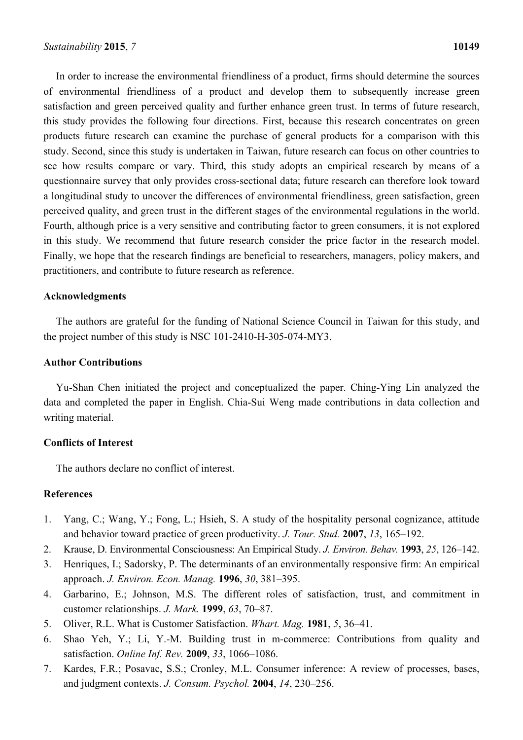In order to increase the environmental friendliness of a product, firms should determine the sources of environmental friendliness of a product and develop them to subsequently increase green satisfaction and green perceived quality and further enhance green trust. In terms of future research, this study provides the following four directions. First, because this research concentrates on green products future research can examine the purchase of general products for a comparison with this study. Second, since this study is undertaken in Taiwan, future research can focus on other countries to see how results compare or vary. Third, this study adopts an empirical research by means of a questionnaire survey that only provides cross-sectional data; future research can therefore look toward a longitudinal study to uncover the differences of environmental friendliness, green satisfaction, green perceived quality, and green trust in the different stages of the environmental regulations in the world. Fourth, although price is a very sensitive and contributing factor to green consumers, it is not explored in this study. We recommend that future research consider the price factor in the research model. Finally, we hope that the research findings are beneficial to researchers, managers, policy makers, and practitioners, and contribute to future research as reference.

#### **Acknowledgments**

The authors are grateful for the funding of National Science Council in Taiwan for this study, and the project number of this study is NSC 101-2410-H-305-074-MY3.

# **Author Contributions**

Yu-Shan Chen initiated the project and conceptualized the paper. Ching-Ying Lin analyzed the data and completed the paper in English. Chia-Sui Weng made contributions in data collection and writing material.

# **Conflicts of Interest**

The authors declare no conflict of interest.

#### **References**

- 1. Yang, C.; Wang, Y.; Fong, L.; Hsieh, S. A study of the hospitality personal cognizance, attitude and behavior toward practice of green productivity. *J. Tour. Stud.* **2007**, *13*, 165–192.
- 2. Krause, D. Environmental Consciousness: An Empirical Study. *J. Environ. Behav.* **1993**, *25*, 126–142.
- 3. Henriques, I.; Sadorsky, P. The determinants of an environmentally responsive firm: An empirical approach. *J. Environ. Econ. Manag.* **1996**, *30*, 381–395.
- 4. Garbarino, E.; Johnson, M.S. The different roles of satisfaction, trust, and commitment in customer relationships. *J. Mark.* **1999**, *63*, 70–87.
- 5. Oliver, R.L. What is Customer Satisfaction. *Whart. Mag.* **1981**, *5*, 36–41.
- 6. Shao Yeh, Y.; Li, Y.-M. Building trust in m-commerce: Contributions from quality and satisfaction. *Online Inf. Rev.* **2009**, *33*, 1066–1086.
- 7. Kardes, F.R.; Posavac, S.S.; Cronley, M.L. Consumer inference: A review of processes, bases, and judgment contexts. *J. Consum. Psychol.* **2004**, *14*, 230–256.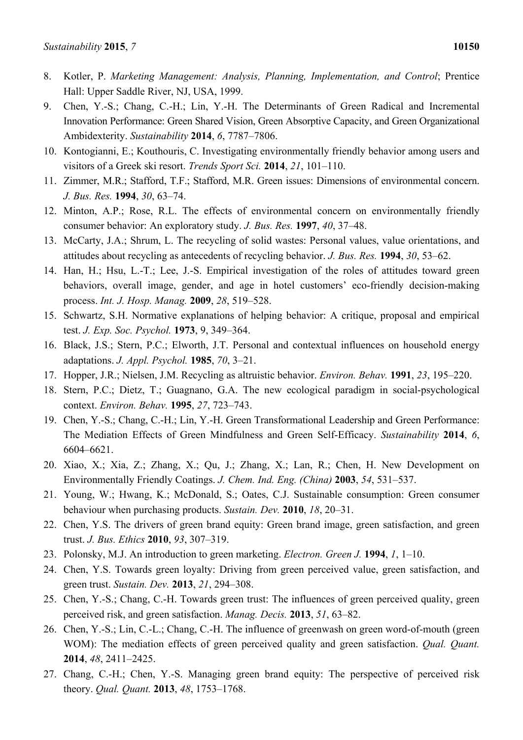- 8. Kotler, P. *Marketing Management: Analysis, Planning, Implementation, and Control*; Prentice Hall: Upper Saddle River, NJ, USA, 1999.
- 9. Chen, Y.-S.; Chang, C.-H.; Lin, Y.-H. The Determinants of Green Radical and Incremental Innovation Performance: Green Shared Vision, Green Absorptive Capacity, and Green Organizational Ambidexterity. *Sustainability* **2014**, *6*, 7787–7806.
- 10. Kontogianni, E.; Kouthouris, C. Investigating environmentally friendly behavior among users and visitors of a Greek ski resort. *Trends Sport Sci.* **2014**, *21*, 101–110.
- 11. Zimmer, M.R.; Stafford, T.F.; Stafford, M.R. Green issues: Dimensions of environmental concern. *J. Bus. Res.* **1994**, *30*, 63–74.
- 12. Minton, A.P.; Rose, R.L. The effects of environmental concern on environmentally friendly consumer behavior: An exploratory study. *J. Bus. Res.* **1997**, *40*, 37–48.
- 13. McCarty, J.A.; Shrum, L. The recycling of solid wastes: Personal values, value orientations, and attitudes about recycling as antecedents of recycling behavior. *J. Bus. Res.* **1994**, *30*, 53–62.
- 14. Han, H.; Hsu, L.-T.; Lee, J.-S. Empirical investigation of the roles of attitudes toward green behaviors, overall image, gender, and age in hotel customers' eco-friendly decision-making process. *Int. J. Hosp. Manag.* **2009**, *28*, 519–528.
- 15. Schwartz, S.H. Normative explanations of helping behavior: A critique, proposal and empirical test. *J. Exp. Soc. Psychol.* **1973**, 9, 349–364.
- 16. Black, J.S.; Stern, P.C.; Elworth, J.T. Personal and contextual influences on household energy adaptations. *J. Appl. Psychol.* **1985**, *70*, 3–21.
- 17. Hopper, J.R.; Nielsen, J.M. Recycling as altruistic behavior. *Environ. Behav.* **1991**, *23*, 195–220.
- 18. Stern, P.C.; Dietz, T.; Guagnano, G.A. The new ecological paradigm in social-psychological context. *Environ. Behav.* **1995**, *27*, 723–743.
- 19. Chen, Y.-S.; Chang, C.-H.; Lin, Y.-H. Green Transformational Leadership and Green Performance: The Mediation Effects of Green Mindfulness and Green Self-Efficacy. *Sustainability* **2014**, *6*, 6604–6621.
- 20. Xiao, X.; Xia, Z.; Zhang, X.; Qu, J.; Zhang, X.; Lan, R.; Chen, H. New Development on Environmentally Friendly Coatings. *J. Chem. Ind. Eng. (China)* **2003**, *54*, 531–537.
- 21. Young, W.; Hwang, K.; McDonald, S.; Oates, C.J. Sustainable consumption: Green consumer behaviour when purchasing products. *Sustain. Dev.* **2010**, *18*, 20–31.
- 22. Chen, Y.S. The drivers of green brand equity: Green brand image, green satisfaction, and green trust. *J. Bus. Ethics* **2010**, *93*, 307–319.
- 23. Polonsky, M.J. An introduction to green marketing. *Electron. Green J.* **1994**, *1*, 1–10.
- 24. Chen, Y.S. Towards green loyalty: Driving from green perceived value, green satisfaction, and green trust. *Sustain. Dev.* **2013**, *21*, 294–308.
- 25. Chen, Y.-S.; Chang, C.-H. Towards green trust: The influences of green perceived quality, green perceived risk, and green satisfaction. *Manag. Decis.* **2013**, *51*, 63–82.
- 26. Chen, Y.-S.; Lin, C.-L.; Chang, C.-H. The influence of greenwash on green word-of-mouth (green WOM): The mediation effects of green perceived quality and green satisfaction. *Qual. Quant.* **2014**, *48*, 2411–2425.
- 27. Chang, C.-H.; Chen, Y.-S. Managing green brand equity: The perspective of perceived risk theory. *Qual. Quant.* **2013**, *48*, 1753–1768.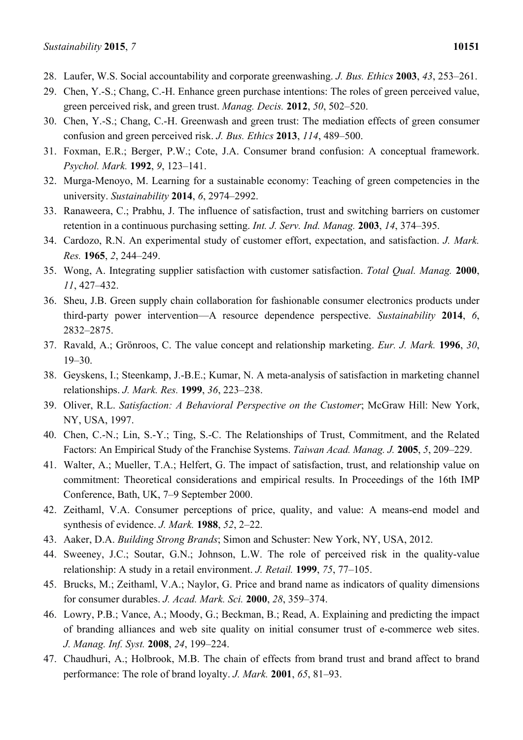- 28. Laufer, W.S. Social accountability and corporate greenwashing. *J. Bus. Ethics* **2003**, *43*, 253–261.
- 29. Chen, Y.-S.; Chang, C.-H. Enhance green purchase intentions: The roles of green perceived value, green perceived risk, and green trust. *Manag. Decis.* **2012**, *50*, 502–520.
- 30. Chen, Y.-S.; Chang, C.-H. Greenwash and green trust: The mediation effects of green consumer confusion and green perceived risk. *J. Bus. Ethics* **2013**, *114*, 489–500.
- 31. Foxman, E.R.; Berger, P.W.; Cote, J.A. Consumer brand confusion: A conceptual framework. *Psychol. Mark.* **1992**, *9*, 123–141.
- 32. Murga-Menoyo, M. Learning for a sustainable economy: Teaching of green competencies in the university. *Sustainability* **2014**, *6*, 2974–2992.
- 33. Ranaweera, C.; Prabhu, J. The influence of satisfaction, trust and switching barriers on customer retention in a continuous purchasing setting. *Int. J. Serv. Ind. Manag.* **2003**, *14*, 374–395.
- 34. Cardozo, R.N. An experimental study of customer effort, expectation, and satisfaction. *J. Mark. Res.* **1965**, *2*, 244–249.
- 35. Wong, A. Integrating supplier satisfaction with customer satisfaction. *Total Qual. Manag.* **2000**, *11*, 427–432.
- 36. Sheu, J.B. Green supply chain collaboration for fashionable consumer electronics products under third-party power intervention—A resource dependence perspective. *Sustainability* **2014**, *6*, 2832–2875.
- 37. Ravald, A.; Grönroos, C. The value concept and relationship marketing. *Eur. J. Mark.* **1996**, *30*, 19–30.
- 38. Geyskens, I.; Steenkamp, J.-B.E.; Kumar, N. A meta-analysis of satisfaction in marketing channel relationships. *J. Mark. Res.* **1999**, *36*, 223–238.
- 39. Oliver, R.L. *Satisfaction: A Behavioral Perspective on the Customer*; McGraw Hill: New York, NY, USA, 1997.
- 40. Chen, C.-N.; Lin, S.-Y.; Ting, S.-C. The Relationships of Trust, Commitment, and the Related Factors: An Empirical Study of the Franchise Systems. *Taiwan Acad. Manag. J.* **2005**, *5*, 209–229.
- 41. Walter, A.; Mueller, T.A.; Helfert, G. The impact of satisfaction, trust, and relationship value on commitment: Theoretical considerations and empirical results. In Proceedings of the 16th IMP Conference, Bath, UK, 7–9 September 2000.
- 42. Zeithaml, V.A. Consumer perceptions of price, quality, and value: A means-end model and synthesis of evidence. *J. Mark.* **1988**, *52*, 2–22.
- 43. Aaker, D.A. *Building Strong Brands*; Simon and Schuster: New York, NY, USA, 2012.
- 44. Sweeney, J.C.; Soutar, G.N.; Johnson, L.W. The role of perceived risk in the quality-value relationship: A study in a retail environment. *J. Retail.* **1999**, *75*, 77–105.
- 45. Brucks, M.; Zeithaml, V.A.; Naylor, G. Price and brand name as indicators of quality dimensions for consumer durables. *J. Acad. Mark. Sci.* **2000**, *28*, 359–374.
- 46. Lowry, P.B.; Vance, A.; Moody, G.; Beckman, B.; Read, A. Explaining and predicting the impact of branding alliances and web site quality on initial consumer trust of e-commerce web sites. *J. Manag. Inf. Syst.* **2008**, *24*, 199–224.
- 47. Chaudhuri, A.; Holbrook, M.B. The chain of effects from brand trust and brand affect to brand performance: The role of brand loyalty. *J. Mark.* **2001**, *65*, 81–93.